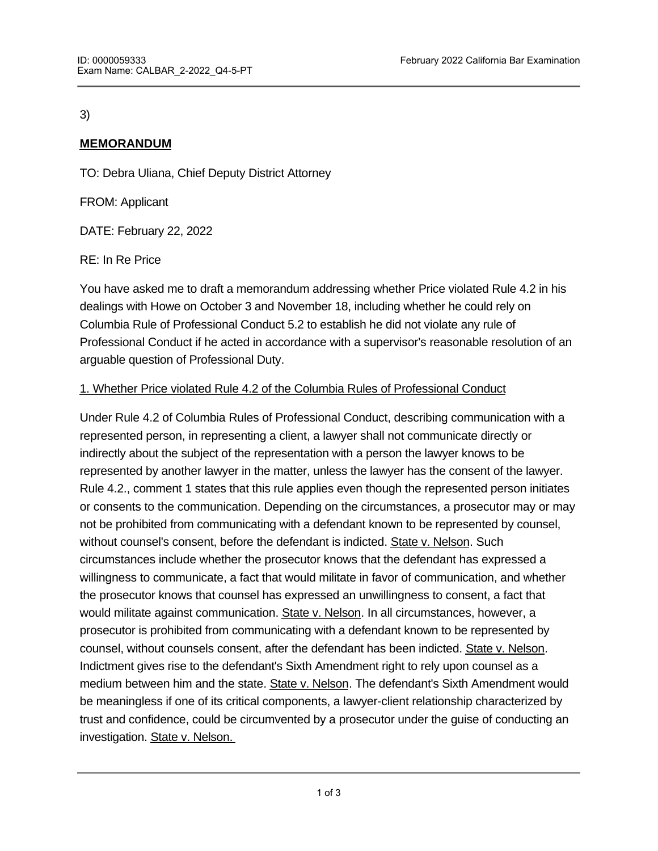### 3)

## **MEMORANDUM**

TO: Debra Uliana, Chief Deputy District Attorney

FROM: Applicant

DATE: February 22, 2022

RE: In Re Price

You have asked me to draft a memorandum addressing whether Price violated Rule 4.2 in his dealings with Howe on October 3 and November 18, including whether he could rely on Columbia Rule of Professional Conduct 5.2 to establish he did not violate any rule of Professional Conduct if he acted in accordance with a supervisor's reasonable resolution of an arguable question of Professional Duty.

### 1. Whether Price violated Rule 4.2 of the Columbia Rules of Professional Conduct

Under Rule 4.2 of Columbia Rules of Professional Conduct, describing communication with a represented person, in representing a client, a lawyer shall not communicate directly or indirectly about the subject of the representation with a person the lawyer knows to be represented by another lawyer in the matter, unless the lawyer has the consent of the lawyer. Rule 4.2., comment 1 states that this rule applies even though the represented person initiates or consents to the communication. Depending on the circumstances, a prosecutor may or may not be prohibited from communicating with a defendant known to be represented by counsel, without counsel's consent, before the defendant is indicted. State v. Nelson. Such circumstances include whether the prosecutor knows that the defendant has expressed a willingness to communicate, a fact that would militate in favor of communication, and whether the prosecutor knows that counsel has expressed an unwillingness to consent, a fact that would militate against communication. State v. Nelson. In all circumstances, however, a prosecutor is prohibited from communicating with a defendant known to be represented by counsel, without counsels consent, after the defendant has been indicted. State v. Nelson. Indictment gives rise to the defendant's Sixth Amendment right to rely upon counsel as a medium between him and the state. State v. Nelson. The defendant's Sixth Amendment would be meaningless if one of its critical components, a lawyer-client relationship characterized by trust and confidence, could be circumvented by a prosecutor under the guise of conducting an investigation. State v. Nelson.

In State v. Nelson, the court held that the prosecutor violated Rule 4.2 because the prosecutor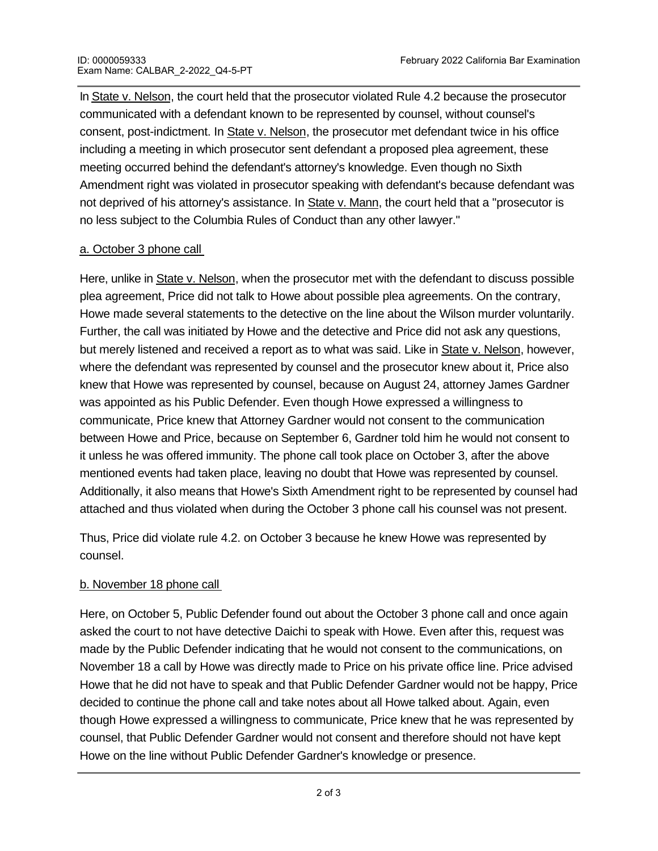In State v. Nelson, the court held that the prosecutor violated Rule 4.2 because the prosecutor communicated with a defendant known to be represented by counsel, without counsel's consent, post-indictment. In State v. Nelson, the prosecutor met defendant twice in his office including a meeting in which prosecutor sent defendant a proposed plea agreement, these meeting occurred behind the defendant's attorney's knowledge. Even though no Sixth Amendment right was violated in prosecutor speaking with defendant's because defendant was not deprived of his attorney's assistance. In State v. Mann, the court held that a "prosecutor is no less subject to the Columbia Rules of Conduct than any other lawyer."

#### a. October 3 phone call

Here, unlike in State v. Nelson, when the prosecutor met with the defendant to discuss possible plea agreement, Price did not talk to Howe about possible plea agreements. On the contrary, Howe made several statements to the detective on the line about the Wilson murder voluntarily. Further, the call was initiated by Howe and the detective and Price did not ask any questions, but merely listened and received a report as to what was said. Like in State v. Nelson, however, where the defendant was represented by counsel and the prosecutor knew about it, Price also knew that Howe was represented by counsel, because on August 24, attorney James Gardner was appointed as his Public Defender. Even though Howe expressed a willingness to communicate, Price knew that Attorney Gardner would not consent to the communication between Howe and Price, because on September 6, Gardner told him he would not consent to it unless he was offered immunity. The phone call took place on October 3, after the above mentioned events had taken place, leaving no doubt that Howe was represented by counsel. Additionally, it also means that Howe's Sixth Amendment right to be represented by counsel had attached and thus violated when during the October 3 phone call his counsel was not present.

Thus, Price did violate rule 4.2. on October 3 because he knew Howe was represented by counsel.

#### b. November 18 phone call

Here, on October 5, Public Defender found out about the October 3 phone call and once again asked the court to not have detective Daichi to speak with Howe. Even after this, request was made by the Public Defender indicating that he would not consent to the communications, on November 18 a call by Howe was directly made to Price on his private office line. Price advised Howe that he did not have to speak and that Public Defender Gardner would not be happy, Price decided to continue the phone call and take notes about all Howe talked about. Again, even though Howe expressed a willingness to communicate, Price knew that he was represented by counsel, that Public Defender Gardner would not consent and therefore should not have kept Howe on the line without Public Defender Gardner's knowledge or presence.